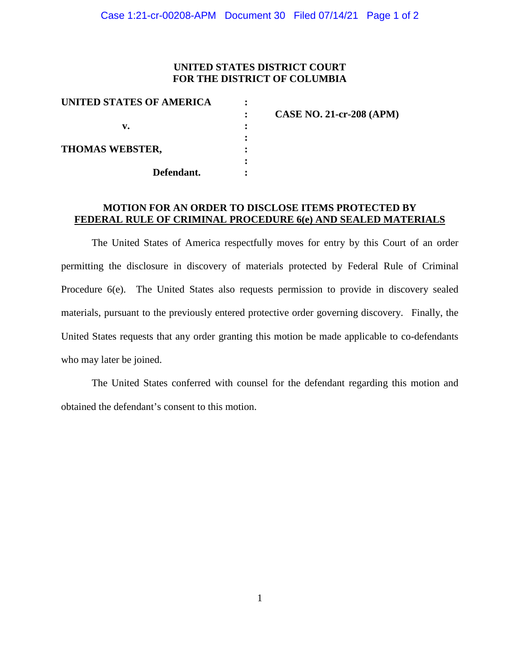## **UNITED STATES DISTRICT COURT FOR THE DISTRICT OF COLUMBIA**

| <b>CASE NO. 21-cr-208 (APM)</b> |
|---------------------------------|
|                                 |
|                                 |
|                                 |
|                                 |
|                                 |
|                                 |

### **MOTION FOR AN ORDER TO DISCLOSE ITEMS PROTECTED BY FEDERAL RULE OF CRIMINAL PROCEDURE 6(e) AND SEALED MATERIALS**

The United States of America respectfully moves for entry by this Court of an order permitting the disclosure in discovery of materials protected by Federal Rule of Criminal Procedure 6(e). The United States also requests permission to provide in discovery sealed materials, pursuant to the previously entered protective order governing discovery. Finally, the United States requests that any order granting this motion be made applicable to co-defendants who may later be joined.

The United States conferred with counsel for the defendant regarding this motion and obtained the defendant's consent to this motion.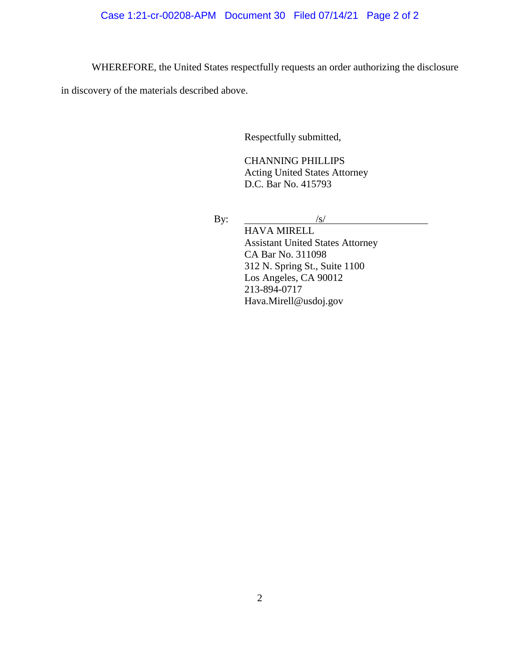WHEREFORE, the United States respectfully requests an order authorizing the disclosure

in discovery of the materials described above.

Respectfully submitted,

CHANNING PHILLIPS Acting United States Attorney D.C. Bar No. 415793

By:  $/s/$ 

HAVA MIRELL Assistant United States Attorney CA Bar No. 311098 312 N. Spring St., Suite 1100 Los Angeles, CA 90012 213-894-0717 Hava.Mirell@usdoj.gov